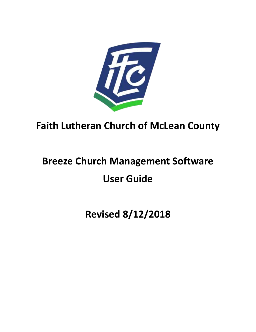

## **Faith Lutheran Church of McLean County**

# **Breeze Church Management Software User Guide**

**Revised 8/12/2018**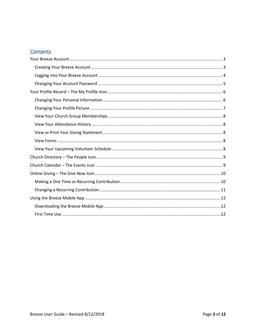### Contents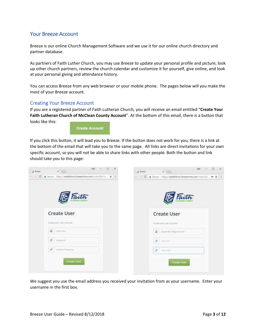#### <span id="page-2-0"></span>Your Breeze Account

Breeze is our online Church Management Software and we use it for our online church directory and partner database.

As partners of Faith Luther Church, you may use Breeze to update your personal profile and picture, look up other church partners, review the church calendar and customize it for yourself, give online, and look at your personal giving and attendance history.

You can access Breeze from any web browser or your mobile phone. The pages below will you make the most of your Breeze account.

#### <span id="page-2-1"></span>Creating Your Breeze Account

If you are a registered partner of Faith Lutheran Church, you will receive an email entitled "**Create Your Faith Lutheran Church of McClean County Account**". At the bottom of this email, there is a button that looks like this:

**Create Account** 

If you click this button, it will lead you to Breeze. If the button does not work for you, there is a link at the bottom of the email that will take you to the same page. All links are direct invitations for your own specific account, so you will not be able to share links with other people. Both the button and link should take you to this page:



We suggest you use the email address you received your invitation from as your username. Enter your username in the first box.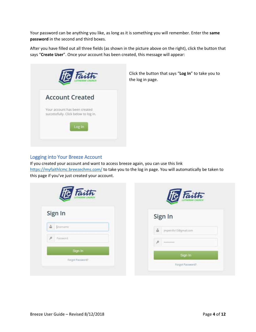Your password can be anything you like, as long as it is something you will remember. Enter the **same password** in the second and third boxes.

After you have filled out all three fields (as shown in the picture above on the right), click the button that says "**Create User**". Once your account has been created, this message will appear:



Click the button that says "**Log In**" to take you to the log in page.

#### <span id="page-3-0"></span>Logging into Your Breeze Account

If you created your account and want to access breeze again, you can use this link <https://myfaithlcmc.breezechms.com/> to take you to the log in page. You will automatically be taken to this page if you've just created your account.

| Faith              | Faith                       |
|--------------------|-----------------------------|
| Sign In            | Sign In                     |
| <b>A</b> Distmante | jmpetrillo13@gmail.com<br>å |
| ø<br>Password      | 声<br>Australians            |
| Sign In            | Sign In                     |
| Forgot Password?   | Forgot Password?            |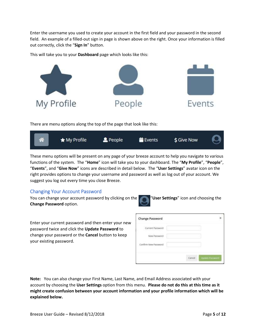Enter the username you used to create your account in the first field and your password in the second field. An example of a filled-out sign in page is shown above on the right. Once your information is filled out correctly, click the "**Sign In**" button.

This will take you to your **Dashboard** page which looks like this:



There are menu options along the top of the page that look like this:



These menu options will be present on any page of your breeze account to help you navigate to various functions of the system. The "**Home**" icon will take you to your dashboard. The "**My Profile**", "**People**", "**Events**", and "**Give Now**" icons are described in detail below. The "**User Settings**" avatar icon on the right provides options to change your username and password as well as log out of your account. We suggest you log out every time you close Breeze.

#### <span id="page-4-0"></span>Changing Your Account Password

You can change your account password by clicking on the "**User Settings**" icon and choosing the **Change Password** option.

Enter your current password and then enter your new password twice and click the **Update Password** to change your password or the **Cancel** button to keep your existing password.

| Change Password                          |                             |  |
|------------------------------------------|-----------------------------|--|
| Current Password<br>1992 - PHILIP MARINE |                             |  |
| New Password<br>the LANGA Police of a    |                             |  |
| Confirm New Password                     |                             |  |
|                                          |                             |  |
|                                          | Update Fassword<br>Cancel : |  |

**Note:** You can also change your First Name, Last Name, and Email Address associated with your account by choosing the **User Settings** option from this menu. **Please do not do this at this time as it might create confusion between your account information and your profile information which will be explained below.**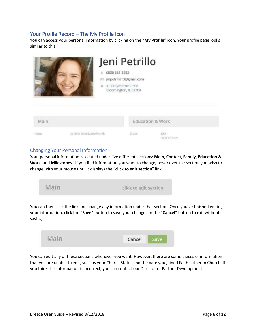#### <span id="page-5-0"></span>Your Profile Record – The My Profile Icon

You can access your personal information by clicking on the "**My Profile**" icon. Your profile page looks similar to this:



#### <span id="page-5-1"></span>Changing Your Personal Information

Your personal information is located under five different sections: **Main, Contact, Family, Education & Work,** and **Milestones**. If you find information you want to change, hover over the section you wish to change with your mouse until it displays the "**click to edit section**" link.

| the company of the company of | And it being the fact that we had the the second control in |  |  |
|-------------------------------|-------------------------------------------------------------|--|--|
|                               |                                                             |  |  |

You can then click the link and change any information under that section. Once you've finished editing your information, click the "**Save**" button to save your changes or the "**Cancel**" button to exit without saving.



You can edit any of these sections whenever you want. However, there are some pieces of information that you are unable to edit, such as your Church Status and the date you joined Faith Lutheran Church. If you think this information is incorrect, you can contact our Director of Partner Development.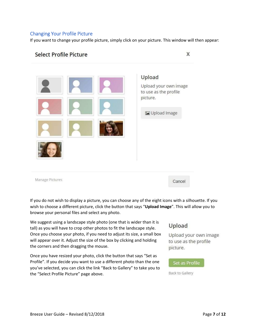#### <span id="page-6-0"></span>Changing Your Profile Picture

If you want to change your profile picture, simply click on your picture. This window will then appear:

#### **Select Profile Picture**

X



If you do not wish to display a picture, you can choose any of the eight icons with a silhouette. If you wish to choose a different picture, click the button that says "**Upload Image**". This will allow you to browse your personal files and select any photo.

We suggest using a landscape style photo (one that is wider than it is tall) as you will have to crop other photos to fit the landscape style. Once you choose your photo, if you need to adjust its size, a small box will appear over it. Adjust the size of the box by clicking and holding the corners and then dragging the mouse.

Once you have resized your photo, click the button that says "Set as Profile". If you decide you want to use a different photo than the one you've selected, you can click the link "Back to Gallery" to take you to the "Select Profile Picture" page above.

#### Upload

Upload your own image to use as the profile picture.

#### Set as Profile

Back to Gallery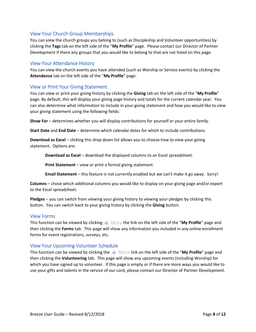#### <span id="page-7-0"></span>View Your Church Group Memberships

You can view the church groups you belong to (such as Discipleship and Volunteer opportunities) by clicking the **Tags** tab on the left side of the "**My Profile**" page. Please contact our Director of Partner Development if there any groups that you would like to belong to that are not listed on this page.

#### <span id="page-7-1"></span>View Your Attendance History

You can view the church events you have attended (such as Worship or Service events) by clicking the **Attendance** tab on the left side of the "**My Profile**" page.

#### <span id="page-7-2"></span>View or Print Your Giving Statement

You can view or print your giving history by clicking the **Giving** tab on the left side of the "**My Profile**" page. By default, this will display your giving page history and totals for the current calendar year. You can also determine what information to include in your giving statement and how you would like to view your giving statement using the following fields:

**Show For** – determines whether you will display contributions for yourself or your entire family.

**Start Date** and **End Date** – determine which calendar dates for which to include contributions.

**Download as Excel** – clicking this drop down list allows you to choose how to view your giving statement. Options are:

**Download as Excel** – download the displayed columns to an Excel spreadsheet.

**Print Statement** – view or print a formal giving statement.

**Email Statement** – this feature is not currently enabled but we can't make it go away. Sorry!

**Columns** – chose which additional columns you would like to display on your giving page and/or export to the Excel spreadsheet.

**Pledges** – you can switch from viewing your giving history to viewing your pledges by clicking this button. You can switch back to your giving history by clicking the **Giving** button.

#### <span id="page-7-3"></span>View Forms

This function can be viewed by clicking **the More the link on the left side of the "My Profile"** page and then clicking the **Forms** tab. This page will show any information you included in any online enrollment forms for event registrations, surveys, etc.

#### <span id="page-7-4"></span>View Your Upcoming Volunteer Schedule

This function can be viewed by clicking the **Interally More link on the left side of the "My Profile"** page and then clicking the **Volunteering** tab. This page will show any upcoming events (including Worship) for which you have signed up to volunteer. If this page is empty or if there are more ways you would like to use your gifts and talents in the service of our Lord, please contact our Director of Partner Development.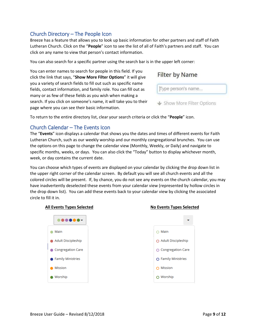#### <span id="page-8-0"></span>Church Directory – The People Icon

Breeze has a feature that allows you to look up basic information for other partners and staff of Faith Lutheran Church. Click on the "**People**" icon to see the list of all of Faith's partners and staff. You can click on any name to view that person's contact information.

You can also search for a specific partner using the search bar is in the upper left corner:

You can enter names to search for people in this field. If you click the link that says, "**Show More Filter Options**" it will give you a variety of search fields to fill out such as specific name fields, contact information, and family role. You can fill out as many or as few of these fields as you wish when making a search. If you click on someone's name, it will take you to their page where you can see their basic information.

**Filter by Name** 

Type person's name...

↓ Show More Filter Options

To return to the entire directory list, clear your search criteria or click the "**People**" icon.

#### <span id="page-8-1"></span>Church Calendar – The Events Icon

The "**Events**" icon displays a calendar that shows you the dates and times of different events for Faith Lutheran Church, such as our weekly worship and our monthly congregational brunches. You can use the options on this page to change the calendar view (Monthly, Weekly, or Daily) and navigate to specific months, weeks, or days. You can also click the "Today" button to display whichever month, week, or day contains the current date.

You can choose which types of events are displayed on your calendar by clicking the drop down list in the upper right corner of the calendar screen. By default you will see all church events and all the colored circles will be present. If, by chance, you do not see any events on the church calendar, you may have inadvertently deselected these events from your calendar view (represented by hollow circles in the drop down list). You can add these events back to your calendar view by clicking the associated circle to fill it in.



#### **All Events Types Selected No Events Types Selected**

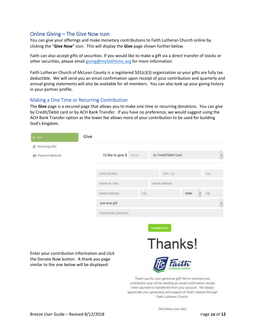#### <span id="page-9-0"></span>Online Giving – The Give Now Icon

You can give your offerings and make monetary contributions to Faith Lutheran Church online by clicking the "**Give Now**" icon. This will display the **Give** page shown further below.

Faith can also accept gifts of securities. If you would like to make a gift via a direct transfer of stocks or other securities, please email [giving@myfaithlcmc.org](mailto:giving@myfaithlcmc.org) for more information.

Faith Lutheran Church of McLean County is a registered 501(c)(3) organization so your gifts are fully tax deductible. We will send you an email confirmation upon receipt of your contribution and quarterly and annual giving statements will also be available for all members. You can also look up your giving history in your partner profile.

#### <span id="page-9-1"></span>Making a One Time or Recurring Contribution

The **Give** page is a secured page that allows you to make one time or recurring donations. You can give by Credit/Debit card or by ACH Bank Transfer. If you have no preference, we would suggest using the ACH Bank Transfer option as the lower fee allows more of your contribution to be used for building God's kingdom.

| S Give                                      | Give                                          |                                                       |          |
|---------------------------------------------|-----------------------------------------------|-------------------------------------------------------|----------|
| C Recurring Gifts<br>Payment Methods<br>m.  | I'd like to give \$<br>XX,XX                  | by Credit/Debit Card                                  | ×        |
|                                             | card number                                   | mm / yy                                               | CVC      |
|                                             | name on card                                  | email address                                         |          |
|                                             | street address<br>city                        | state                                                 | 25p<br>۰ |
|                                             | one time gift                                 |                                                       | T,       |
|                                             | Comments (optional)                           |                                                       |          |
|                                             |                                               | Donate Now                                            |          |
|                                             |                                               |                                                       |          |
|                                             |                                               | Thanks!                                               |          |
| the Donate Now button. A thank you page     | Enter your contribution information and click |                                                       |          |
| similar to the one below will be displayed. |                                               |                                                       |          |
|                                             |                                               | Thank you for your nanasoue nift! Wa've received your |          |

Thank you for your generous gift! We've received your contribution and will be sending an email confirmation receipt when payment is transferred from your account. We deeply appreciate your generosity and support of God's mission through Faith Lutheran Church.

God bless your day!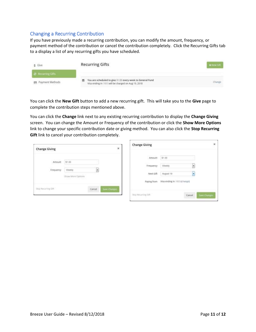#### <span id="page-10-0"></span>Changing a Recurring Contribution

If you have previously made a recurring contribution, you can modify the amount, frequency, or payment method of the contribution or cancel the contribution completely. Click the Recurring Gifts tab to a display a list of any recurring gifts you have scheduled.

| \$ Give                                                    | <b>Recurring Gifts</b>                                                                                            |                             |
|------------------------------------------------------------|-------------------------------------------------------------------------------------------------------------------|-----------------------------|
| <b>C</b> Recurring Gifts                                   |                                                                                                                   |                             |
| Payment Methods<br>학교 환경 서울 경쟁 시간 이 이 이 이 아이들은 지수가 있어 있어요. | You are scheduled to give<br>every week to General Fund<br>m<br>will be charged on Aug 19, 2018<br>Visa ending in | Change<br><b>CONTRACTOR</b> |

You can click the **New Gift** button to add a new recurring gift. This will take you to the **Give** page to complete the contribution steps mentioned above.

You can click the **Change** link next to any existing recurring contribution to display the **Change Giving** screen. You can change the Amount or Frequency of the contribution or click the **Show More Options** link to change your specific contribution date or giving method. You can also click the **Stop Recurring Gift** link to cancel your contribution completely.

| <b>Change Giving</b> |                                                                                                                        | ×                   | <b>Change Giving</b>                           |                                                           | ×             |
|----------------------|------------------------------------------------------------------------------------------------------------------------|---------------------|------------------------------------------------|-----------------------------------------------------------|---------------|
| Amount<br>Frequency  | produces<br>\$1.00<br>weekly<br>÷<br>a that the management of the firm of the<br>Show More Options<br>anni ama ann ann |                     | A LONGONIA<br>Amount<br>Frequency<br>Next Gift | \$1.00<br>Weekly.<br>۰<br>August 19<br>×                  |               |
| Ship flucurring Gft  | Cancel                                                                                                                 | <b>Save Changes</b> | Paying from<br>Stop Netwring Gift              | Wisa ending in<br>(change)<br>Cancel<br><b>STATISTICS</b> | Save Chiarges |